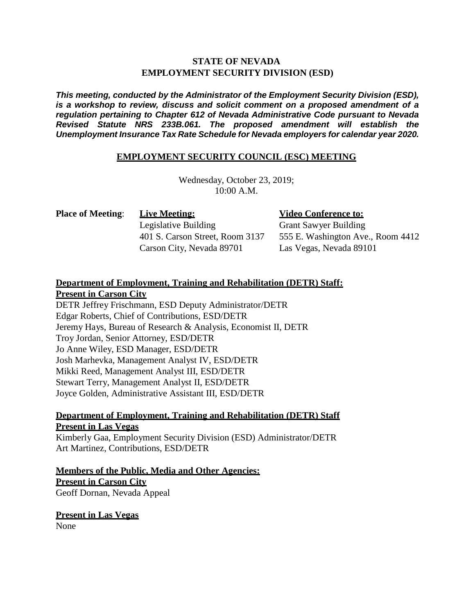# **STATE OF NEVADA EMPLOYMENT SECURITY DIVISION (ESD)**

*This meeting, conducted by the Administrator of the Employment Security Division (ESD), is a workshop to review, discuss and solicit comment on a proposed amendment of a regulation pertaining to Chapter 612 of Nevada Administrative Code pursuant to Nevada Revised Statute NRS 233B.061. The proposed amendment will establish the Unemployment Insurance Tax Rate Schedule for Nevada employers for calendar year 2020.*

### **EMPLOYMENT SECURITY COUNCIL (ESC) MEETING**

Wednesday, October 23, 2019;  $10:00 A.M.$ 

**Place of Meeting**: **Live Meeting:**

Legislative Building 401 S. Carson Street, Room 3137 Carson City, Nevada 89701

### **Video Conference to:**

Grant Sawyer Building 555 E. Washington Ave., Room 4412 Las Vegas, Nevada 89101

# **Department of Employment, Training and Rehabilitation (DETR) Staff: Present in Carson City**

DETR Jeffrey Frischmann, ESD Deputy Administrator/DETR Edgar Roberts, Chief of Contributions, ESD/DETR Jeremy Hays, Bureau of Research & Analysis, Economist II, DETR Troy Jordan, Senior Attorney, ESD/DETR Jo Anne Wiley, ESD Manager, ESD/DETR Josh Marhevka, Management Analyst IV, ESD/DETR Mikki Reed, Management Analyst III, ESD/DETR Stewart Terry, Management Analyst II, ESD/DETR Joyce Golden, Administrative Assistant III, ESD/DETR

# **Department of Employment, Training and Rehabilitation (DETR) Staff Present in Las Vegas**

Kimberly Gaa, Employment Security Division (ESD) Administrator/DETR Art Martinez, Contributions, ESD/DETR

**Members of the Public, Media and Other Agencies: Present in Carson City** Geoff Dornan, Nevada Appeal

**Present in Las Vegas**

None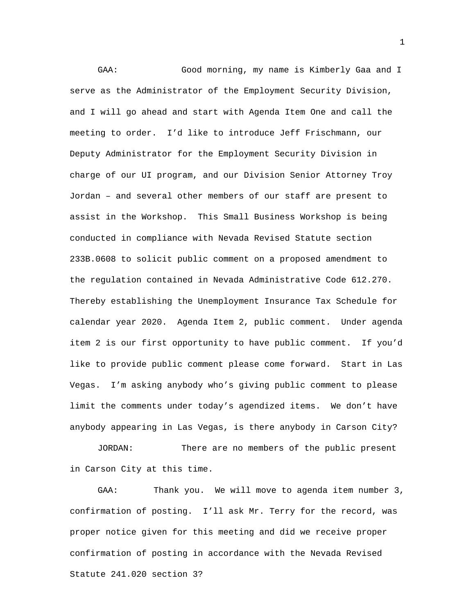GAA: Good morning, my name is Kimberly Gaa and I serve as the Administrator of the Employment Security Division, and I will go ahead and start with Agenda Item One and call the meeting to order. I'd like to introduce Jeff Frischmann, our Deputy Administrator for the Employment Security Division in charge of our UI program, and our Division Senior Attorney Troy Jordan – and several other members of our staff are present to assist in the Workshop. This Small Business Workshop is being conducted in compliance with Nevada Revised Statute section 233B.0608 to solicit public comment on a proposed amendment to the regulation contained in Nevada Administrative Code 612.270. Thereby establishing the Unemployment Insurance Tax Schedule for calendar year 2020. Agenda Item 2, public comment. Under agenda item 2 is our first opportunity to have public comment. If you'd like to provide public comment please come forward. Start in Las Vegas. I'm asking anybody who's giving public comment to please limit the comments under today's agendized items. We don't have anybody appearing in Las Vegas, is there anybody in Carson City?

JORDAN: There are no members of the public present in Carson City at this time.

GAA: Thank you. We will move to agenda item number 3, confirmation of posting. I'll ask Mr. Terry for the record, was proper notice given for this meeting and did we receive proper confirmation of posting in accordance with the Nevada Revised Statute 241.020 section 3?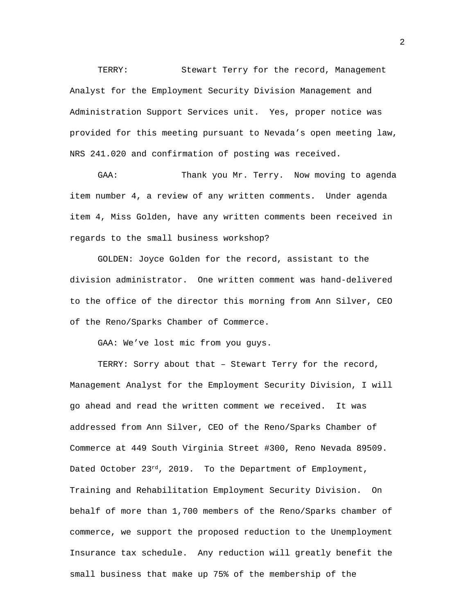TERRY: Stewart Terry for the record, Management Analyst for the Employment Security Division Management and Administration Support Services unit. Yes, proper notice was provided for this meeting pursuant to Nevada's open meeting law, NRS 241.020 and confirmation of posting was received.

GAA: Thank you Mr. Terry. Now moving to agenda item number 4, a review of any written comments. Under agenda item 4, Miss Golden, have any written comments been received in regards to the small business workshop?

GOLDEN: Joyce Golden for the record, assistant to the division administrator. One written comment was hand-delivered to the office of the director this morning from Ann Silver, CEO of the Reno/Sparks Chamber of Commerce.

GAA: We've lost mic from you guys.

TERRY: Sorry about that – Stewart Terry for the record, Management Analyst for the Employment Security Division, I will go ahead and read the written comment we received. It was addressed from Ann Silver, CEO of the Reno/Sparks Chamber of Commerce at 449 South Virginia Street #300, Reno Nevada 89509. Dated October 23rd, 2019. To the Department of Employment, Training and Rehabilitation Employment Security Division. On behalf of more than 1,700 members of the Reno/Sparks chamber of commerce, we support the proposed reduction to the Unemployment Insurance tax schedule. Any reduction will greatly benefit the small business that make up 75% of the membership of the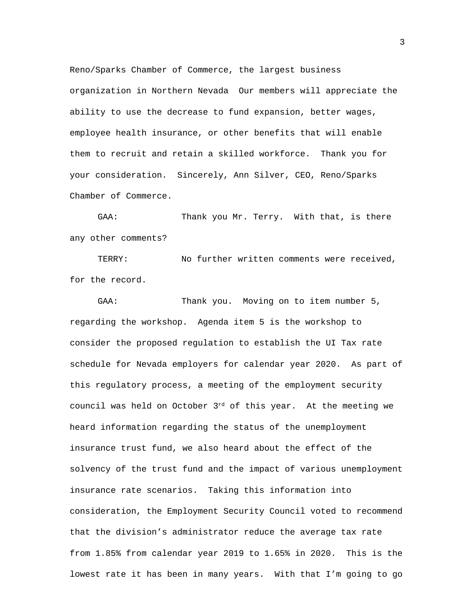Reno/Sparks Chamber of Commerce, the largest business organization in Northern Nevada Our members will appreciate the ability to use the decrease to fund expansion, better wages, employee health insurance, or other benefits that will enable them to recruit and retain a skilled workforce. Thank you for your consideration. Sincerely, Ann Silver, CEO, Reno/Sparks Chamber of Commerce.

GAA: Thank you Mr. Terry. With that, is there any other comments?

TERRY: No further written comments were received, for the record.

GAA: Thank you. Moving on to item number 5, regarding the workshop. Agenda item 5 is the workshop to consider the proposed regulation to establish the UI Tax rate schedule for Nevada employers for calendar year 2020. As part of this regulatory process, a meeting of the employment security council was held on October  $3^{rd}$  of this year. At the meeting we heard information regarding the status of the unemployment insurance trust fund, we also heard about the effect of the solvency of the trust fund and the impact of various unemployment insurance rate scenarios. Taking this information into consideration, the Employment Security Council voted to recommend that the division's administrator reduce the average tax rate from 1.85% from calendar year 2019 to 1.65% in 2020. This is the lowest rate it has been in many years. With that I'm going to go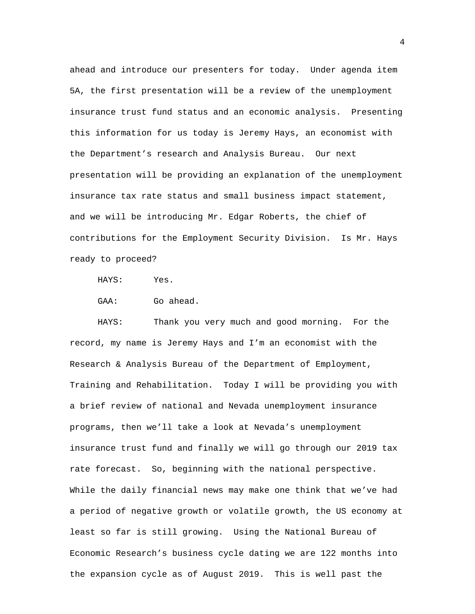ahead and introduce our presenters for today. Under agenda item 5A, the first presentation will be a review of the unemployment insurance trust fund status and an economic analysis. Presenting this information for us today is Jeremy Hays, an economist with the Department's research and Analysis Bureau. Our next presentation will be providing an explanation of the unemployment insurance tax rate status and small business impact statement, and we will be introducing Mr. Edgar Roberts, the chief of contributions for the Employment Security Division. Is Mr. Hays ready to proceed?

HAYS: Yes.

GAA: Go ahead.

HAYS: Thank you very much and good morning. For the record, my name is Jeremy Hays and I'm an economist with the Research & Analysis Bureau of the Department of Employment, Training and Rehabilitation. Today I will be providing you with a brief review of national and Nevada unemployment insurance programs, then we'll take a look at Nevada's unemployment insurance trust fund and finally we will go through our 2019 tax rate forecast. So, beginning with the national perspective. While the daily financial news may make one think that we've had a period of negative growth or volatile growth, the US economy at least so far is still growing. Using the National Bureau of Economic Research's business cycle dating we are 122 months into the expansion cycle as of August 2019. This is well past the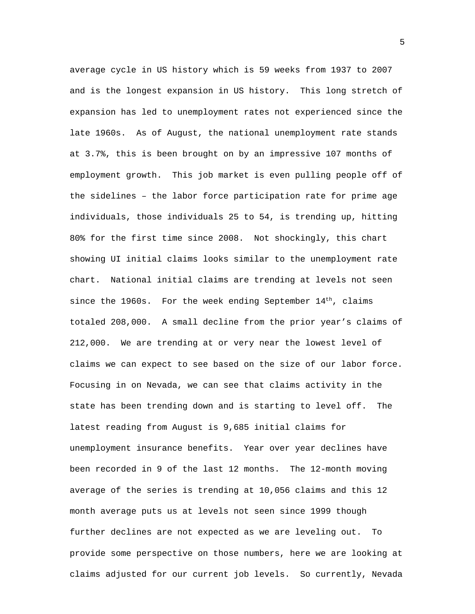average cycle in US history which is 59 weeks from 1937 to 2007 and is the longest expansion in US history. This long stretch of expansion has led to unemployment rates not experienced since the late 1960s. As of August, the national unemployment rate stands at 3.7%, this is been brought on by an impressive 107 months of employment growth. This job market is even pulling people off of the sidelines – the labor force participation rate for prime age individuals, those individuals 25 to 54, is trending up, hitting 80% for the first time since 2008. Not shockingly, this chart showing UI initial claims looks similar to the unemployment rate chart. National initial claims are trending at levels not seen since the 1960s. For the week ending September  $14<sup>th</sup>$ , claims totaled 208,000. A small decline from the prior year's claims of 212,000. We are trending at or very near the lowest level of claims we can expect to see based on the size of our labor force. Focusing in on Nevada, we can see that claims activity in the state has been trending down and is starting to level off. The latest reading from August is 9,685 initial claims for unemployment insurance benefits. Year over year declines have been recorded in 9 of the last 12 months. The 12-month moving average of the series is trending at 10,056 claims and this 12 month average puts us at levels not seen since 1999 though further declines are not expected as we are leveling out. To provide some perspective on those numbers, here we are looking at claims adjusted for our current job levels. So currently, Nevada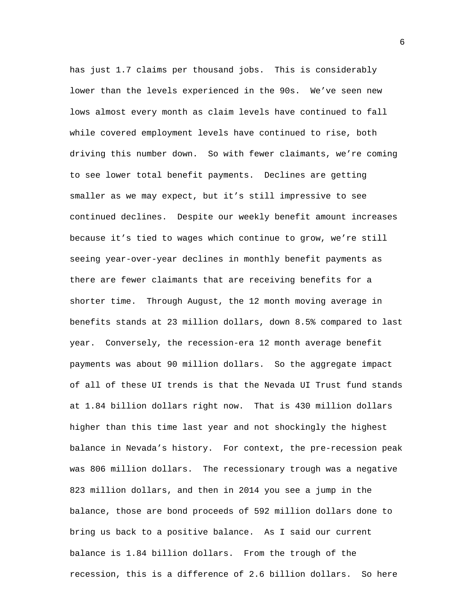has just 1.7 claims per thousand jobs. This is considerably lower than the levels experienced in the 90s. We've seen new lows almost every month as claim levels have continued to fall while covered employment levels have continued to rise, both driving this number down. So with fewer claimants, we're coming to see lower total benefit payments. Declines are getting smaller as we may expect, but it's still impressive to see continued declines. Despite our weekly benefit amount increases because it's tied to wages which continue to grow, we're still seeing year-over-year declines in monthly benefit payments as there are fewer claimants that are receiving benefits for a shorter time. Through August, the 12 month moving average in benefits stands at 23 million dollars, down 8.5% compared to last year. Conversely, the recession-era 12 month average benefit payments was about 90 million dollars. So the aggregate impact of all of these UI trends is that the Nevada UI Trust fund stands at 1.84 billion dollars right now. That is 430 million dollars higher than this time last year and not shockingly the highest balance in Nevada's history. For context, the pre-recession peak was 806 million dollars. The recessionary trough was a negative 823 million dollars, and then in 2014 you see a jump in the balance, those are bond proceeds of 592 million dollars done to bring us back to a positive balance. As I said our current balance is 1.84 billion dollars. From the trough of the recession, this is a difference of 2.6 billion dollars. So here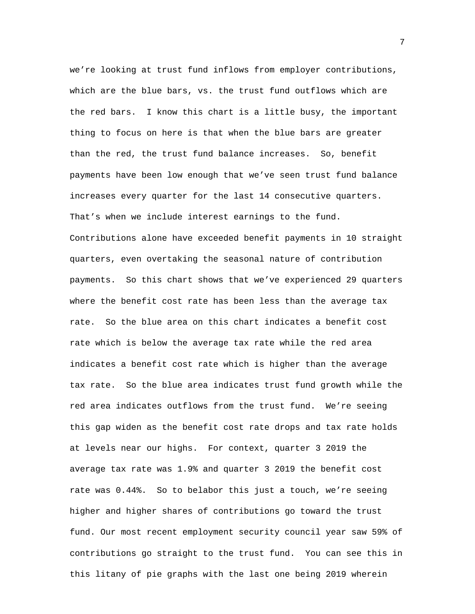we're looking at trust fund inflows from employer contributions, which are the blue bars, vs. the trust fund outflows which are the red bars. I know this chart is a little busy, the important thing to focus on here is that when the blue bars are greater than the red, the trust fund balance increases. So, benefit payments have been low enough that we've seen trust fund balance increases every quarter for the last 14 consecutive quarters. That's when we include interest earnings to the fund. Contributions alone have exceeded benefit payments in 10 straight quarters, even overtaking the seasonal nature of contribution payments. So this chart shows that we've experienced 29 quarters where the benefit cost rate has been less than the average tax rate. So the blue area on this chart indicates a benefit cost rate which is below the average tax rate while the red area indicates a benefit cost rate which is higher than the average tax rate. So the blue area indicates trust fund growth while the red area indicates outflows from the trust fund. We're seeing this gap widen as the benefit cost rate drops and tax rate holds at levels near our highs. For context, quarter 3 2019 the average tax rate was 1.9% and quarter 3 2019 the benefit cost rate was 0.44%. So to belabor this just a touch, we're seeing higher and higher shares of contributions go toward the trust fund. Our most recent employment security council year saw 59% of contributions go straight to the trust fund. You can see this in this litany of pie graphs with the last one being 2019 wherein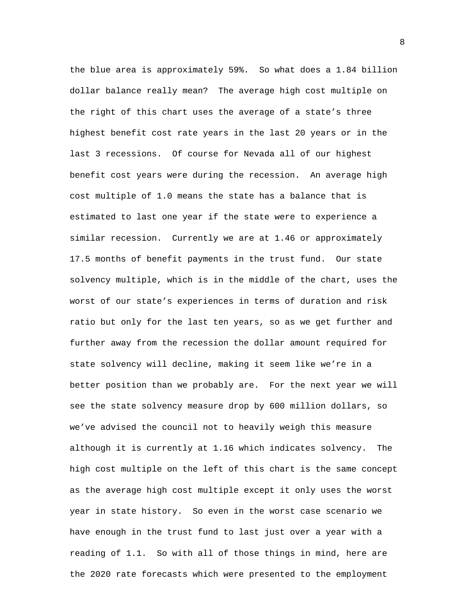the blue area is approximately 59%. So what does a 1.84 billion dollar balance really mean? The average high cost multiple on the right of this chart uses the average of a state's three highest benefit cost rate years in the last 20 years or in the last 3 recessions. Of course for Nevada all of our highest benefit cost years were during the recession. An average high cost multiple of 1.0 means the state has a balance that is estimated to last one year if the state were to experience a similar recession. Currently we are at 1.46 or approximately 17.5 months of benefit payments in the trust fund. Our state solvency multiple, which is in the middle of the chart, uses the worst of our state's experiences in terms of duration and risk ratio but only for the last ten years, so as we get further and further away from the recession the dollar amount required for state solvency will decline, making it seem like we're in a better position than we probably are. For the next year we will see the state solvency measure drop by 600 million dollars, so we've advised the council not to heavily weigh this measure although it is currently at 1.16 which indicates solvency. The high cost multiple on the left of this chart is the same concept as the average high cost multiple except it only uses the worst year in state history. So even in the worst case scenario we have enough in the trust fund to last just over a year with a reading of 1.1. So with all of those things in mind, here are the 2020 rate forecasts which were presented to the employment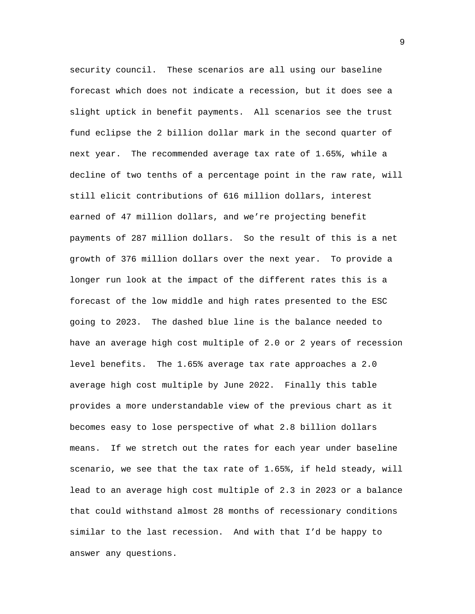security council. These scenarios are all using our baseline forecast which does not indicate a recession, but it does see a slight uptick in benefit payments. All scenarios see the trust fund eclipse the 2 billion dollar mark in the second quarter of next year. The recommended average tax rate of 1.65%, while a decline of two tenths of a percentage point in the raw rate, will still elicit contributions of 616 million dollars, interest earned of 47 million dollars, and we're projecting benefit payments of 287 million dollars. So the result of this is a net growth of 376 million dollars over the next year. To provide a longer run look at the impact of the different rates this is a forecast of the low middle and high rates presented to the ESC going to 2023. The dashed blue line is the balance needed to have an average high cost multiple of 2.0 or 2 years of recession level benefits. The 1.65% average tax rate approaches a 2.0 average high cost multiple by June 2022. Finally this table provides a more understandable view of the previous chart as it becomes easy to lose perspective of what 2.8 billion dollars means. If we stretch out the rates for each year under baseline scenario, we see that the tax rate of 1.65%, if held steady, will lead to an average high cost multiple of 2.3 in 2023 or a balance that could withstand almost 28 months of recessionary conditions similar to the last recession. And with that I'd be happy to answer any questions.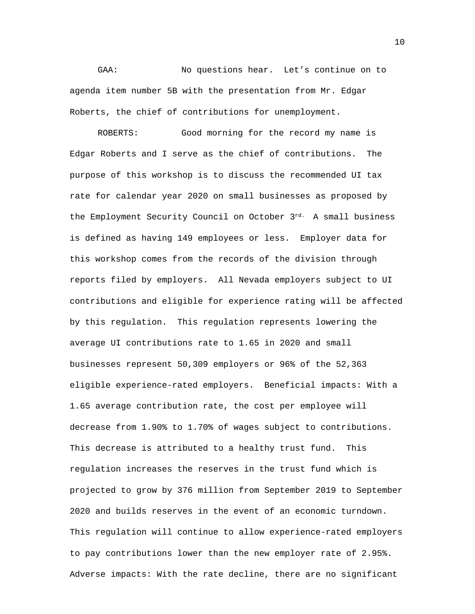GAA: No questions hear. Let's continue on to agenda item number 5B with the presentation from Mr. Edgar Roberts, the chief of contributions for unemployment.

ROBERTS: Good morning for the record my name is Edgar Roberts and I serve as the chief of contributions. The purpose of this workshop is to discuss the recommended UI tax rate for calendar year 2020 on small businesses as proposed by the Employment Security Council on October 3rd. A small business is defined as having 149 employees or less. Employer data for this workshop comes from the records of the division through reports filed by employers. All Nevada employers subject to UI contributions and eligible for experience rating will be affected by this regulation. This regulation represents lowering the average UI contributions rate to 1.65 in 2020 and small businesses represent 50,309 employers or 96% of the 52,363 eligible experience-rated employers. Beneficial impacts: With a 1.65 average contribution rate, the cost per employee will decrease from 1.90% to 1.70% of wages subject to contributions. This decrease is attributed to a healthy trust fund. This regulation increases the reserves in the trust fund which is projected to grow by 376 million from September 2019 to September 2020 and builds reserves in the event of an economic turndown. This regulation will continue to allow experience-rated employers to pay contributions lower than the new employer rate of 2.95%. Adverse impacts: With the rate decline, there are no significant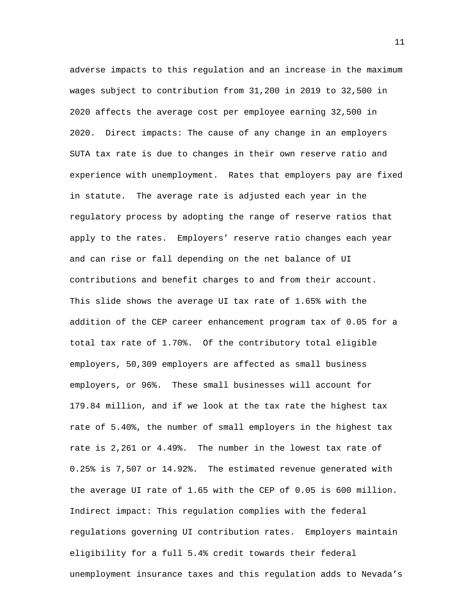adverse impacts to this regulation and an increase in the maximum wages subject to contribution from 31,200 in 2019 to 32,500 in 2020 affects the average cost per employee earning 32,500 in 2020. Direct impacts: The cause of any change in an employers SUTA tax rate is due to changes in their own reserve ratio and experience with unemployment. Rates that employers pay are fixed in statute. The average rate is adjusted each year in the regulatory process by adopting the range of reserve ratios that apply to the rates. Employers' reserve ratio changes each year and can rise or fall depending on the net balance of UI contributions and benefit charges to and from their account. This slide shows the average UI tax rate of 1.65% with the addition of the CEP career enhancement program tax of 0.05 for a total tax rate of 1.70%. Of the contributory total eligible employers, 50,309 employers are affected as small business employers, or 96%. These small businesses will account for 179.84 million, and if we look at the tax rate the highest tax rate of 5.40%, the number of small employers in the highest tax rate is 2,261 or 4.49%. The number in the lowest tax rate of 0.25% is 7,507 or 14.92%. The estimated revenue generated with the average UI rate of 1.65 with the CEP of 0.05 is 600 million. Indirect impact: This regulation complies with the federal regulations governing UI contribution rates. Employers maintain eligibility for a full 5.4% credit towards their federal unemployment insurance taxes and this regulation adds to Nevada's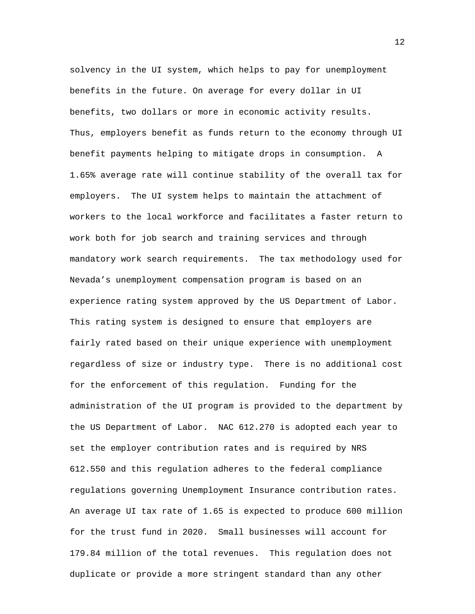solvency in the UI system, which helps to pay for unemployment benefits in the future. On average for every dollar in UI benefits, two dollars or more in economic activity results. Thus, employers benefit as funds return to the economy through UI benefit payments helping to mitigate drops in consumption. A 1.65% average rate will continue stability of the overall tax for employers. The UI system helps to maintain the attachment of workers to the local workforce and facilitates a faster return to work both for job search and training services and through mandatory work search requirements. The tax methodology used for Nevada's unemployment compensation program is based on an experience rating system approved by the US Department of Labor. This rating system is designed to ensure that employers are fairly rated based on their unique experience with unemployment regardless of size or industry type. There is no additional cost for the enforcement of this regulation. Funding for the administration of the UI program is provided to the department by the US Department of Labor. NAC 612.270 is adopted each year to set the employer contribution rates and is required by NRS 612.550 and this regulation adheres to the federal compliance regulations governing Unemployment Insurance contribution rates. An average UI tax rate of 1.65 is expected to produce 600 million for the trust fund in 2020. Small businesses will account for 179.84 million of the total revenues. This regulation does not duplicate or provide a more stringent standard than any other